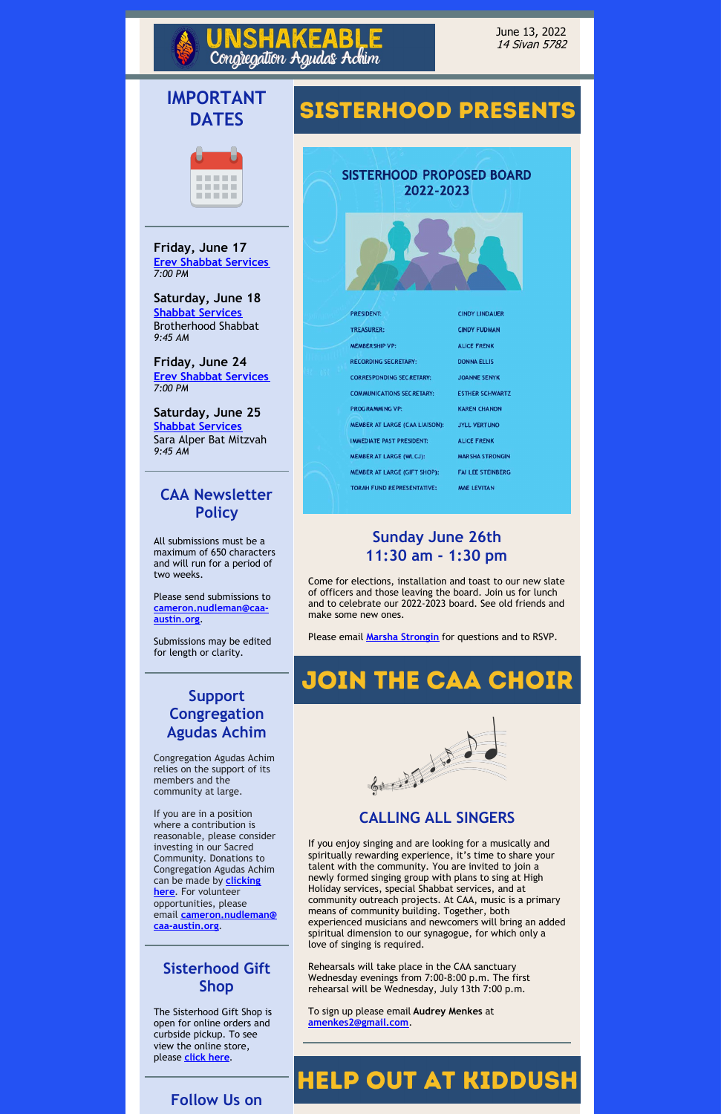#### June 13, 2022 14 Sivan 5782

# **IMPORTANT DATES**



**Friday, June 17 Erev Shabbat [Services](https://theaustinsynagogue.org/service-streaming/)** *7:00 PM*

**Saturday, June 18 Shabbat [Services](https://theaustinsynagogue.org/service-streaming/)** Brotherhood Shabbat *9:45 AM*

**Friday, June 24 Erev Shabbat [Services](https://theaustinsynagogue.org/service-streaming/)** *7:00 PM*

**Saturday, June 25 Shabbat [Services](https://theaustinsynagogue.org/service-streaming/)** Sara Alper Bat Mitzvah *9:45 AM*

## **CAA Newsletter Policy**

All submissions must be a maximum of 650 characters and will run for a period of two weeks.

Please send submissions to **[cameron.nudleman@caa](mailto:cameron.nudleman@caa-austin.org)austin.org**.

Submissions may be edited for length or clarity.

## **Support Congregation Agudas Achim**

Congregation Agudas Achim relies on the support of its members and the community at large.

If you are in a position

# **SISTERHOOD PRESENTS**

**EABL** 

Congregation Agudas Achim

**SISTERHOOD PROPOSED BOARD** 2022-2023



| <b>PRESIDENT:</b>                     | <b>CINDY LINDAUER</b> |
|---------------------------------------|-----------------------|
| TREASURER:                            | <b>CINDY FUDMAN</b>   |
| <b>MEMBER SHIP VP:</b>                | <b>ALICE FRENK</b>    |
| <b>RECORDING SECRETARY:</b>           | <b>DONNA ELLIS</b>    |
| <b>CORRESPONDING SECRETARY:</b>       | <b>JOANNE SENYK</b>   |
| <b>COMMUNICATIONS SECRETARY:</b>      | <b>ESTHER SCHWAR</b>  |
| <b>PROGRAMMING VP:</b>                | <b>KAREN CHANON</b>   |
| <b>MEMBER AT LARGE (CAA LIAISON):</b> | <b>JYLL VERTUNO</b>   |
| <b>IMMEDIATE PAST PRESIDENT:</b>      | <b>ALICE FRENK</b>    |
| <b>MEMBER AT LARGE (WLCJ):</b>        | <b>MARSHA STRONG</b>  |
| MEMBER AT LARGE (GIFT SHOP):          | <b>FAILEE STEINBE</b> |
| TORAH FUND REPRESENTATIVE:            | <b>MAE LEVITAN</b>    |

where a contribution is reasonable, please consider investing in our Sacred Community. Donations to Congregation Agudas Achim can be made by **clicking here**. For [volunteer](https://congregationagudasachim.shulcloud.com/form/give) opportunities, please email **[cameron.nudleman@](mailto:cameron.nudleman@caa-austin.org) caa-austin.org**.

### **Sisterhood Gift Shop**

The Sisterhood Gift Shop is open for online orders and curbside pickup. To see view the online store, please **[click](https://saajudaicaaustin.shopsettings.com/) here**.

#### **Follow Us on**

### **Sunday June 26th 11:30 am - 1:30 pm**

Come for elections, installation and toast to our new slate of officers and those leaving the board. Join us for lunch and to celebrate our 2022-2023 board. See old friends and make some new ones.

Please email **Marsha [Strongin](mailto:marsha@strongin.net)** for questions and to RSVP.

# JOIN THE CAA CHOIR



#### **CALLING ALL SINGERS**

If you enjoy singing and are looking for a musically and spiritually rewarding experience, it's time to share your talent with the community. You are invited to join a newly formed singing group with plans to sing at High Holiday services, special Shabbat services, and at community outreach projects. At CAA, music is a primary means of community building. Together, both experienced musicians and newcomers will bring an added spiritual dimension to our synagogue, for which only a love of singing is required.

Rehearsals will take place in the CAA sanctuary Wednesday evenings from 7:00-8:00 p.m. The first rehearsal will be Wednesday, July 13th 7:00 p.m.

To sign up please email **Audrey Menkes** at **[amenkes2@gmail.com](mailto:amenkes2@gmail.com)**.

# **HELP OUT AT KIDDUSH**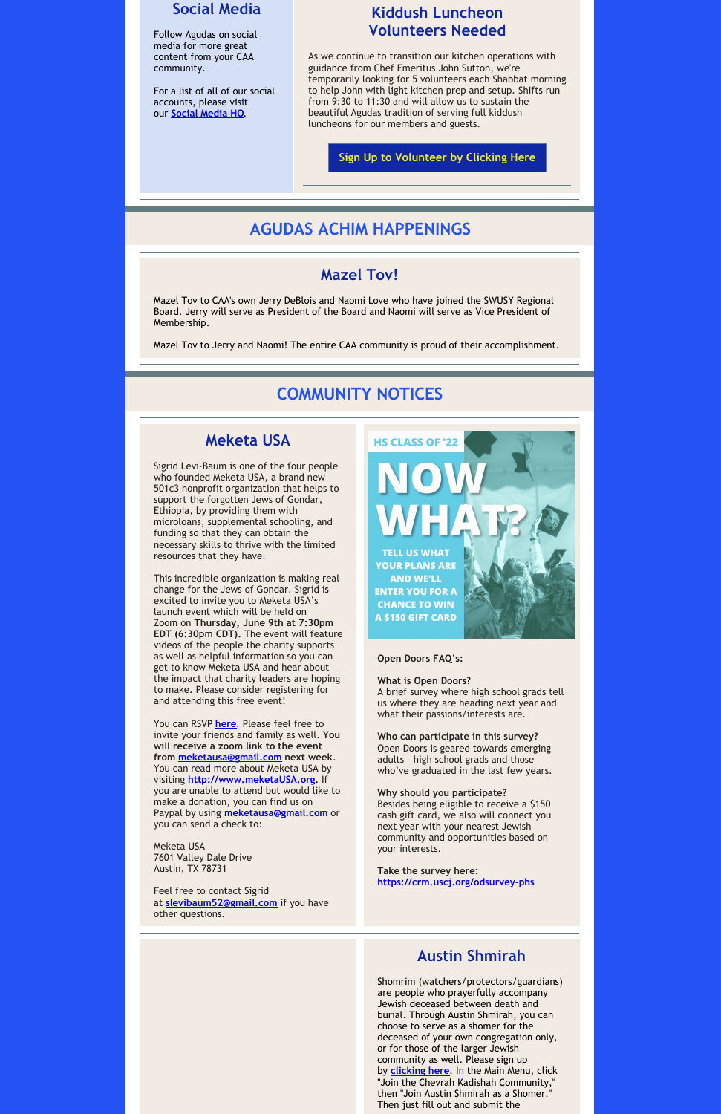#### **Social Media**

Follow Agudas on social media for more great content from your CAA community.

For a list of all of our social accounts, please visit our **Social [Media](https://r20.rs6.net/tn.jsp?f=001OSByye3vS_MZ-IRg63520WWVxi4WDisYCqp6NmAq0ESLDvogpM0IpK2ReW36hJBgwN4h_blScuc-PZvFPK0qlNfoDHBrtppuTN-PkE_vmnVo7_v-2mx50iaD5_c7G2Is36mi3laXFVmWERFCXr8hAfmg6ds2d3bQVVD_qU0UuSY=&c=0RJjOgLIB427MtG1SfDU_Fh-ZJU_5fnocAaqMr25X4hysfXWdOAmzA==&ch=crQPeNEgELfR90lvnnmUXcZNLjxuBSlqMjbaNGCv9HNi3GNTUEqU2w==) HQ**.

#### **Kiddush Luncheon Volunteers Needed**

As we continue to transition our kitchen operations with guidance from Chef Emeritus John Sutton, we're temporarily looking for 5 volunteers each Shabbat morning to help John with light kitchen prep and setup. Shifts run from 9:30 to 11:30 and will allow us to sustain the beautiful Agudas tradition of serving full kiddush luncheons for our members and guests.

#### **Sign Up to [Volunteer](https://docs.google.com/spreadsheets/d/1qYtKNWI-mGsf4dFGNbIV38gC7RgaD3-Oi-F4oelslXQ/edit?usp=sharing) by Clicking Here**

## **AGUDAS ACHIM HAPPENINGS**

#### **Mazel Tov!**

Mazel Tov to CAA's own Jerry DeBlois and Naomi Love who have joined the SWUSY Regional Board. Jerry will serve as President of the Board and Naomi will serve as Vice President of Membership.

Mazel Tov to Jerry and Naomi! The entire CAA community is proud of their accomplishment.

### **COMMUNITY NOTICES**

#### **Meketa USA**

Sigrid Levi-Baum is one of the four people who founded Meketa USA, a brand new 501c3 nonprofit organization that helps to support the forgotten Jews of Gondar, Ethiopia, by providing them with microloans, supplemental schooling, and funding so that they can obtain the necessary skills to thrive with the limited resources that they have.

This incredible organization is making real change for the Jews of Gondar. Sigrid is excited to invite you to Meketa USA's launch event which will be held on Zoom on **Thursday, June 9th at 7:30pm EDT (6:30pm CDT).** The event will feature videos of the people the charity supports as well as helpful information so you can get to know Meketa USA and hear about the impact that charity leaders are hoping to make. Please consider registering for and attending this free event!

You can RSVP **[here](https://docs.google.com/forms/d/e/1FAIpQLScRXGABZ9bsOQs4bOVrbH3m_EEv5bHaeJhRhNXnZgQdhCV2sg/viewform?usp=sf_link)**. Please feel free to invite your friends and family as well. **You will receive a zoom link to the event from [meketausa@gmail.com](mailto:meketausa@gmail.com) next week**. You can read more about Meketa USA by visiting **[http://www.meketaUSA.org](http://www.meketausa.org)**. If you are unable to attend but would like to make a donation, you can find us on Paypal by using **[meketausa@gmail.com](mailto:meketausa@gmail.com)** or



you can send a check to:

Meketa USA 7601 Valley Dale Drive Austin, TX 78731

Feel free to contact Sigrid at **[slevibaum52@gmail.com](mailto:slevibaum52@gmail.com)** if you have other questions.

#### **Open Doors FAQ's:**

#### **What is Open Doors?**

A brief survey where high school grads tell us where they are heading next year and what their passions/interests are.

**Who can participate in this survey?** Open Doors is geared towards emerging adults – high school grads and those who've graduated in the last few years.

#### **Why should you participate?**

Besides being eligible to receive a \$150 cash gift card, we also will connect you

next year with your nearest Jewish community and opportunities based on your interests.

**Take the survey here: <https://crm.uscj.org/odsurvey-phs>**

#### **Austin Shmirah**

Shomrim (watchers/protectors/guardians) are people who prayerfully accompany Jewish deceased between death and burial. Through Austin Shmirah, you can choose to serve as a shomer for the deceased of your own congregation only, or for those of the larger Jewish community as well. Please sign up by **[clicking](https://r20.rs6.net/tn.jsp?f=001ZaqbjkU-U8zwnWySanTCPXK00l1PqcZsI3FprDsst2nmV5kYsfrdAcmUdncMecgCMn4GkuVCb9Xa3tESTJBbvHVoJJO9DGFE8DR8Cy8RX321QD64DegvmwWVpXX7_RG_EzREQFUsZbTUDFE37FOmvimrEOft-rp30mhHBQ1rEts=&c=CzHhhP76VpSHvLEWe4XpiU7psskMMcj8HiWEmkBWSTk7ZWEx3z-rZQ==&ch=EyPh_cD5lUZhAuPVQ6Gl78do7k2iKC9udUoXB5kYqrZW_BsPjUiKRw==) here**. In the Main Menu, click "Join the Chevrah Kadishah Community," then "Join Austin Shmirah as a Shomer." Then just fill out and submit the